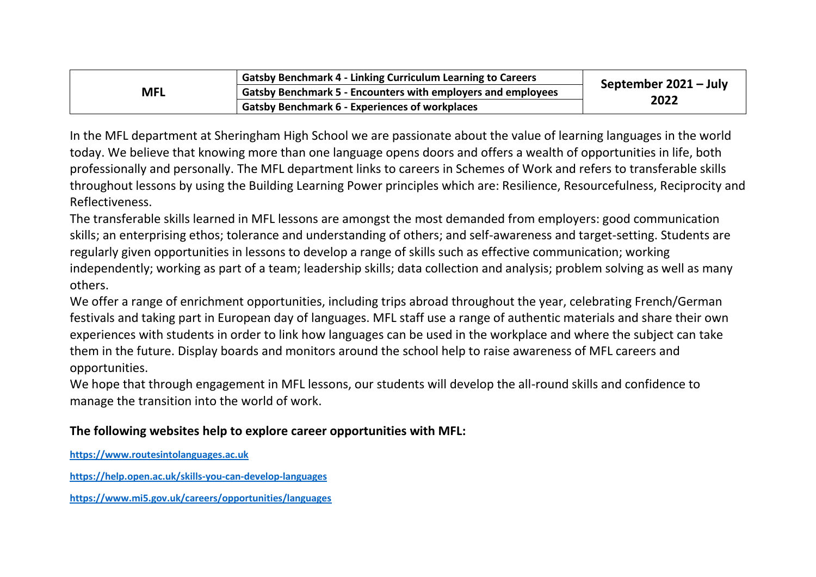| <b>MFL</b> | <b>Gatsby Benchmark 4 - Linking Curriculum Learning to Careers</b>  | September 2021 - July |  |
|------------|---------------------------------------------------------------------|-----------------------|--|
|            | <b>Gatsby Benchmark 5 - Encounters with employers and employees</b> |                       |  |
|            | <b>Gatsby Benchmark 6 - Experiences of workplaces</b>               | 2022                  |  |

In the MFL department at Sheringham High School we are passionate about the value of learning languages in the world today. We believe that knowing more than one language opens doors and offers a wealth of opportunities in life, both professionally and personally. The MFL department links to careers in Schemes of Work and refers to transferable skills throughout lessons by using the Building Learning Power principles which are: Resilience, Resourcefulness, Reciprocity and Reflectiveness.

The transferable skills learned in MFL lessons are amongst the most demanded from employers: good communication skills; an enterprising ethos; tolerance and understanding of others; and self-awareness and target-setting. Students are regularly given opportunities in lessons to develop a range of skills such as effective communication; working independently; working as part of a team; leadership skills; data collection and analysis; problem solving as well as many others.

We offer a range of enrichment opportunities, including trips abroad throughout the year, celebrating French/German festivals and taking part in European day of languages. MFL staff use a range of authentic materials and share their own experiences with students in order to link how languages can be used in the workplace and where the subject can take them in the future. Display boards and monitors around the school help to raise awareness of MFL careers and opportunities.

We hope that through engagement in MFL lessons, our students will develop the all-round skills and confidence to manage the transition into the world of work.

## **The following websites help to explore career opportunities with MFL:**

**[https://www.routesintolanguages.ac.uk](https://www.routesintolanguages.ac.uk/)**

**<https://help.open.ac.uk/skills-you-can-develop-languages>**

**<https://www.mi5.gov.uk/careers/opportunities/languages>**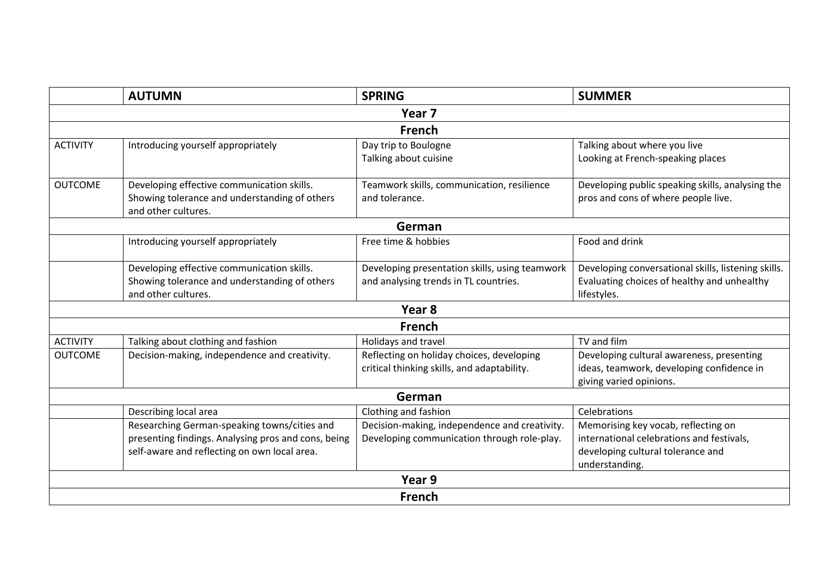|                   | <b>AUTUMN</b>                                                                                                                                       | <b>SPRING</b>                                                                                | <b>SUMMER</b>                                                                                                                           |  |  |
|-------------------|-----------------------------------------------------------------------------------------------------------------------------------------------------|----------------------------------------------------------------------------------------------|-----------------------------------------------------------------------------------------------------------------------------------------|--|--|
| Year <sub>7</sub> |                                                                                                                                                     |                                                                                              |                                                                                                                                         |  |  |
| French            |                                                                                                                                                     |                                                                                              |                                                                                                                                         |  |  |
| <b>ACTIVITY</b>   | Introducing yourself appropriately                                                                                                                  | Day trip to Boulogne<br>Talking about cuisine                                                | Talking about where you live<br>Looking at French-speaking places                                                                       |  |  |
| <b>OUTCOME</b>    | Developing effective communication skills.<br>Showing tolerance and understanding of others<br>and other cultures.                                  | Teamwork skills, communication, resilience<br>and tolerance.                                 | Developing public speaking skills, analysing the<br>pros and cons of where people live.                                                 |  |  |
|                   |                                                                                                                                                     | German                                                                                       |                                                                                                                                         |  |  |
|                   | Introducing yourself appropriately                                                                                                                  | Free time & hobbies                                                                          | Food and drink                                                                                                                          |  |  |
|                   | Developing effective communication skills.<br>Showing tolerance and understanding of others<br>and other cultures.                                  | Developing presentation skills, using teamwork<br>and analysing trends in TL countries.      | Developing conversational skills, listening skills.<br>Evaluating choices of healthy and unhealthy<br>lifestyles.                       |  |  |
|                   |                                                                                                                                                     | Year 8                                                                                       |                                                                                                                                         |  |  |
|                   |                                                                                                                                                     | <b>French</b>                                                                                |                                                                                                                                         |  |  |
| <b>ACTIVITY</b>   | Talking about clothing and fashion                                                                                                                  | Holidays and travel                                                                          | TV and film                                                                                                                             |  |  |
| <b>OUTCOME</b>    | Decision-making, independence and creativity.                                                                                                       | Reflecting on holiday choices, developing<br>critical thinking skills, and adaptability.     | Developing cultural awareness, presenting<br>ideas, teamwork, developing confidence in<br>giving varied opinions.                       |  |  |
| German            |                                                                                                                                                     |                                                                                              |                                                                                                                                         |  |  |
|                   | Describing local area                                                                                                                               | Clothing and fashion                                                                         | Celebrations                                                                                                                            |  |  |
|                   | Researching German-speaking towns/cities and<br>presenting findings. Analysing pros and cons, being<br>self-aware and reflecting on own local area. | Decision-making, independence and creativity.<br>Developing communication through role-play. | Memorising key vocab, reflecting on<br>international celebrations and festivals,<br>developing cultural tolerance and<br>understanding. |  |  |
| Year 9            |                                                                                                                                                     |                                                                                              |                                                                                                                                         |  |  |
| <b>French</b>     |                                                                                                                                                     |                                                                                              |                                                                                                                                         |  |  |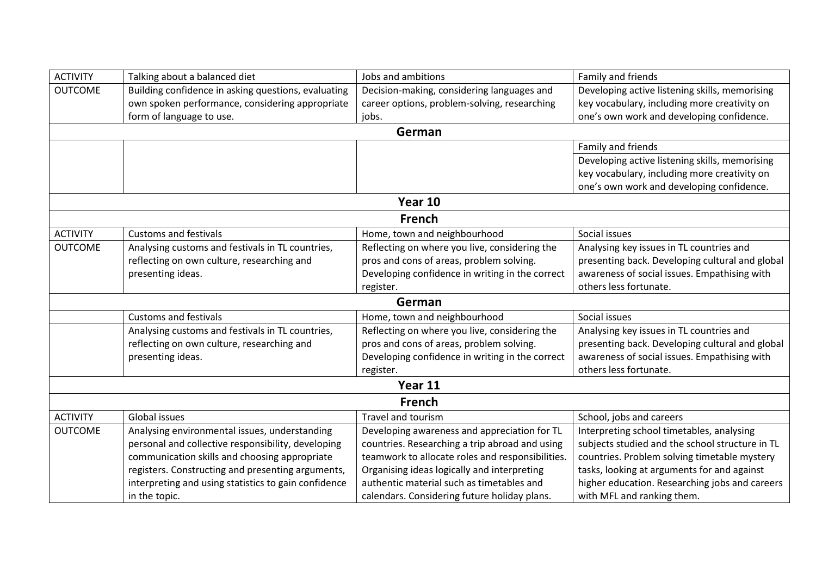| <b>ACTIVITY</b> | Talking about a balanced diet                        | Jobs and ambitions                               | Family and friends                              |  |  |
|-----------------|------------------------------------------------------|--------------------------------------------------|-------------------------------------------------|--|--|
| <b>OUTCOME</b>  | Building confidence in asking questions, evaluating  | Decision-making, considering languages and       | Developing active listening skills, memorising  |  |  |
|                 | own spoken performance, considering appropriate      | career options, problem-solving, researching     | key vocabulary, including more creativity on    |  |  |
|                 | form of language to use.                             | jobs.                                            | one's own work and developing confidence.       |  |  |
|                 |                                                      | German                                           |                                                 |  |  |
|                 |                                                      |                                                  | Family and friends                              |  |  |
|                 |                                                      |                                                  | Developing active listening skills, memorising  |  |  |
|                 |                                                      |                                                  | key vocabulary, including more creativity on    |  |  |
|                 |                                                      |                                                  | one's own work and developing confidence.       |  |  |
| Year 10         |                                                      |                                                  |                                                 |  |  |
|                 |                                                      | <b>French</b>                                    |                                                 |  |  |
| <b>ACTIVITY</b> | <b>Customs and festivals</b>                         | Home, town and neighbourhood                     | Social issues                                   |  |  |
| <b>OUTCOME</b>  | Analysing customs and festivals in TL countries,     | Reflecting on where you live, considering the    | Analysing key issues in TL countries and        |  |  |
|                 | reflecting on own culture, researching and           | pros and cons of areas, problem solving.         | presenting back. Developing cultural and global |  |  |
|                 | presenting ideas.                                    | Developing confidence in writing in the correct  | awareness of social issues. Empathising with    |  |  |
|                 |                                                      | register.                                        | others less fortunate.                          |  |  |
| German          |                                                      |                                                  |                                                 |  |  |
|                 | <b>Customs and festivals</b>                         | Home, town and neighbourhood                     | Social issues                                   |  |  |
|                 | Analysing customs and festivals in TL countries,     | Reflecting on where you live, considering the    | Analysing key issues in TL countries and        |  |  |
|                 | reflecting on own culture, researching and           | pros and cons of areas, problem solving.         | presenting back. Developing cultural and global |  |  |
|                 | presenting ideas.                                    | Developing confidence in writing in the correct  | awareness of social issues. Empathising with    |  |  |
|                 |                                                      | register.                                        | others less fortunate.                          |  |  |
|                 | Year 11                                              |                                                  |                                                 |  |  |
| <b>French</b>   |                                                      |                                                  |                                                 |  |  |
| <b>ACTIVITY</b> | Global issues                                        | <b>Travel and tourism</b>                        | School, jobs and careers                        |  |  |
| <b>OUTCOME</b>  | Analysing environmental issues, understanding        | Developing awareness and appreciation for TL     | Interpreting school timetables, analysing       |  |  |
|                 | personal and collective responsibility, developing   | countries. Researching a trip abroad and using   | subjects studied and the school structure in TL |  |  |
|                 | communication skills and choosing appropriate        | teamwork to allocate roles and responsibilities. | countries. Problem solving timetable mystery    |  |  |
|                 | registers. Constructing and presenting arguments,    | Organising ideas logically and interpreting      | tasks, looking at arguments for and against     |  |  |
|                 | interpreting and using statistics to gain confidence | authentic material such as timetables and        | higher education. Researching jobs and careers  |  |  |
|                 | in the topic.                                        | calendars. Considering future holiday plans.     | with MFL and ranking them.                      |  |  |